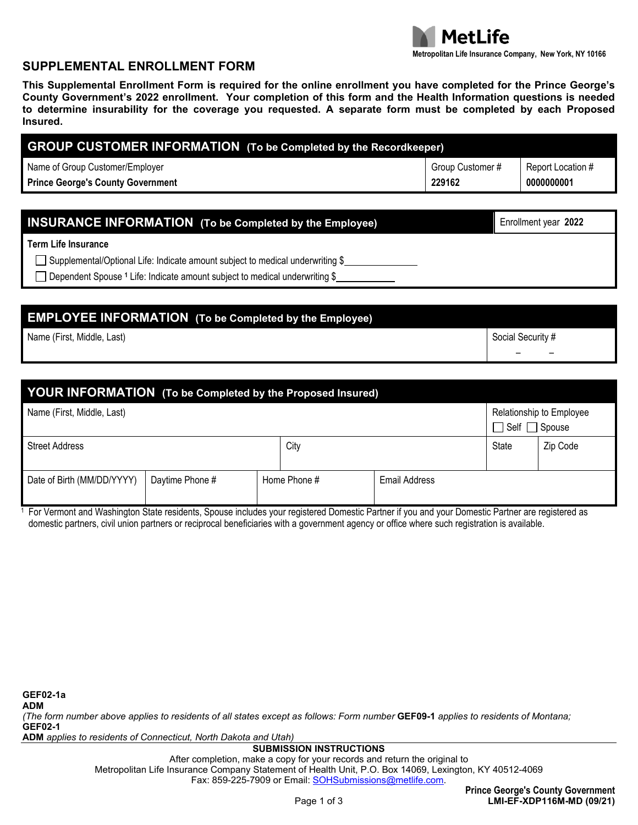

– –

#### **SUPPLEMENTAL ENROLLMENT FORM**

**This Supplemental Enrollment Form is required for the online enrollment you have completed for the Prince George's County Government's 2022 enrollment. Your completion of this form and the Health Information questions is needed to determine insurability for the coverage you requested. A separate form must be completed by each Proposed Insured.**

| <b>GROUP CUSTOMER INFORMATION</b> (To be Completed by the Recordkeeper) |                  |                   |  |  |  |
|-------------------------------------------------------------------------|------------------|-------------------|--|--|--|
| Name of Group Customer/Employer                                         | Group Customer # | Report Location # |  |  |  |
| <b>Prince George's County Government</b>                                | 229162           | 0000000001        |  |  |  |

| <b>INSURANCE INFORMATION</b> (To be Completed by the Employee)                                | Enrollment year 2022 |
|-----------------------------------------------------------------------------------------------|----------------------|
| <b>Term Life Insurance</b>                                                                    |                      |
| $\Box$ Supplemental/Optional Life: Indicate amount subject to medical underwriting \$         |                      |
| $\Box$ Dependent Spouse <sup>1</sup> Life: Indicate amount subject to medical underwriting \$ |                      |

# **EMPLOYEE INFORMATION (To be Completed by the Employee)**

Name (First, Middle, Last) Social Security # Social Security # Social Security # Social Security # Social Security #

| YOUR INFORMATION (To be Completed by the Proposed Insured) |                 |              |      |                                                       |              |          |
|------------------------------------------------------------|-----------------|--------------|------|-------------------------------------------------------|--------------|----------|
| Name (First, Middle, Last)                                 |                 |              |      | Relationship to Employee<br>$\Box$ Self $\Box$ Spouse |              |          |
| <b>Street Address</b>                                      |                 |              | City |                                                       | <b>State</b> | Zip Code |
| Date of Birth (MM/DD/YYYY)                                 | Daytime Phone # | Home Phone # |      | <b>Email Address</b>                                  |              |          |

<sup>1</sup> For Vermont and Washington State residents, Spouse includes your registered Domestic Partner if you and your Domestic Partner are registered as domestic partners, civil union partners or reciprocal beneficiaries with a government agency or office where such registration is available.

*(The form number above applies to residents of all states except as follows: Form number* **GEF09-1** *applies to residents of Montana;* **GEF02-1**

**ADM** *applies to residents of Connecticut, North Dakota and Utah)*

#### **SUBMISSION INSTRUCTIONS**

After completion, make a copy for your records and return the original to Metropolitan Life Insurance Company Statement of Health Unit, P.O. Box 14069, Lexington, KY 40512-4069 Fax: 859-225-7909 or Email: [SOHSubmissions@metlife.com.](mailto:SOHSubmissions@metlife.com)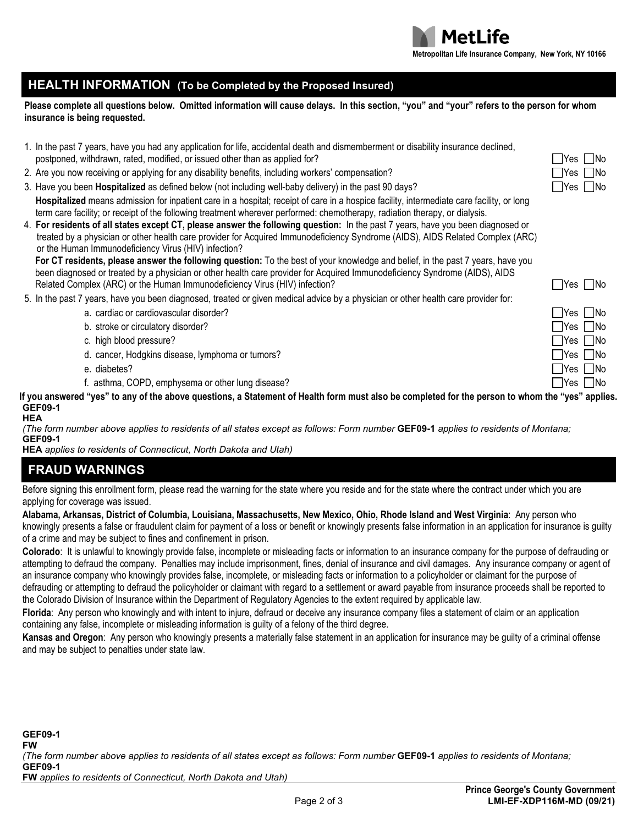

#### **HEALTH INFORMATION (To be Completed by the Proposed Insured)**

**Please complete all questions below. Omitted information will cause delays. In this section, "you" and "your" refers to the person for whom insurance is being requested.**

| 1. In the past 7 years, have you had any application for life, accidental death and dismemberment or disability insurance declined, |                      |
|-------------------------------------------------------------------------------------------------------------------------------------|----------------------|
| postponed, withdrawn, rated, modified, or issued other than as applied for?                                                         | $\Box$ Yes $\Box$ No |

- 2. Are you now receiving or applying for any disability benefits, including workers' compensation?
- 3. Have you been **Hospitalized** as defined below (not including well-baby delivery) in the past 90 days? **Yes Noting 1998**
- Hospitalized means admission for inpatient care in a hospital; receipt of care in a hospice facility, intermediate care facility, or long term care facility; or receipt of the following treatment wherever performed: chemotherapy, radiation therapy, or dialysis.
- 4. **For residents of all states except CT, please answer the following question:** In the past 7 years, have you been diagnosed or treated by a physician or other health care provider for Acquired Immunodeficiency Syndrome (AIDS), AIDS Related Complex (ARC) or the Human Immunodeficiency Virus (HIV) infection?

**For CT residents, please answer the following question:** To the best of your knowledge and belief, in the past 7 years, have you been diagnosed or treated by a physician or other health care provider for Acquired Immunodeficiency Syndrome (AIDS), AIDS Related Complex (ARC) or the Human Immunodeficiency Virus (HIV) infection? The Notation of Note All the Notation of Note All the Notation of Note All the Notation of Note All the Notation of Note All the Notation of Note A

5. In the past 7 years, have you been diagnosed, treated or given medical advice by a physician or other health care provider for:

a. cardiac or cardiovascular disorder? The cardioval cardioval cardioval cardioval cardioval cardioval cardioval cardioval cardioval cardioval cardioval cardioval cardioval cardioval cardioval cardioval cardioval cardioval

- b. stroke or circulatory disorder? The stroke or circulatory disorder? The stroke or circulatory disorder?
- c. high blood pressure?  $\Box$  Yes  $\Box$  No
- d. cancer, Hodgkins disease, lymphoma or tumors? The state of the state of the state of the state of the state of the state of the state of the state of the state of the state of the state of the state of the state of the
- e. diabetes? ∑es No
- f. asthma, COPD, emphysema or other lung disease? The example of the example of the example of the example of the example of the example of the example of the example of the example of the example of the example of the exa

**If you answered "yes" to any of the above questions, a Statement of Health form must also be completed for the person to whom the "yes" applies. GEF09-1**

**HEA**

*(The form number above applies to residents of all states except as follows: Form number* **GEF09-1** *applies to residents of Montana;* **GEF09-1**

**HEA** *applies to residents of Connecticut, North Dakota and Utah)*

## **FRAUD WARNINGS**

Before signing this enrollment form, please read the warning for the state where you reside and for the state where the contract under which you are applying for coverage was issued.

**Alabama, Arkansas, District of Columbia, Louisiana, Massachusetts, New Mexico, Ohio, Rhode Island and West Virginia**: Any person who

knowingly presents a false or fraudulent claim for payment of a loss or benefit or knowingly presents false information in an application for insurance is guilty of a crime and may be subject to fines and confinement in prison.

**Colorado**: It is unlawful to knowingly provide false, incomplete or misleading facts or information to an insurance company for the purpose of defrauding or attempting to defraud the company. Penalties may include imprisonment, fines, denial of insurance and civil damages. Any insurance company or agent of an insurance company who knowingly provides false, incomplete, or misleading facts or information to a policyholder or claimant for the purpose of defrauding or attempting to defraud the policyholder or claimant with regard to a settlement or award payable from insurance proceeds shall be reported to the Colorado Division of Insurance within the Department of Regulatory Agencies to the extent required by applicable law.

**Florida**: Any person who knowingly and with intent to injure, defraud or deceive any insurance company files a statement of claim or an application containing any false, incomplete or misleading information is guilty of a felony of the third degree.

**Kansas and Oregon**: Any person who knowingly presents a materially false statement in an application for insurance may be guilty of a criminal offense and may be subject to penalties under state law.

| Yes    No |     |
|-----------|-----|
| Yes    No |     |
| lV۵e      | ΠN∩ |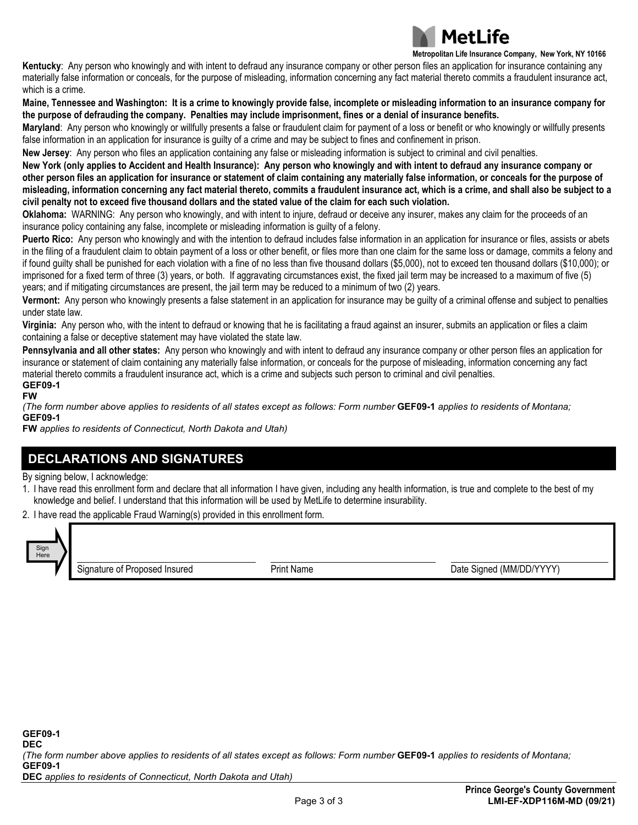

**Metropolitan Life Insurance Company, New York, NY 10166**

**Kentucky**: Any person who knowingly and with intent to defraud any insurance company or other person files an application for insurance containing any materially false information or conceals, for the purpose of misleading, information concerning any fact material thereto commits a fraudulent insurance act, which is a crime.

**Maine, Tennessee and Washington: It is a crime to knowingly provide false, incomplete or misleading information to an insurance company for the purpose of defrauding the company. Penalties may include imprisonment, fines or a denial of insurance benefits.**

**Maryland**: Any person who knowingly or willfully presents a false or fraudulent claim for payment of a loss or benefit or who knowingly or willfully presents false information in an application for insurance is quilty of a crime and may be subject to fines and confinement in prison.

**New Jersey**: Any person who files an application containing any false or misleading information is subject to criminal and civil penalties.

**New York (only applies to Accident and Health Insurance): Any person who knowingly and with intent to defraud any insurance company or other person files an application for insurance or statement of claim containing any materially false information, or conceals for the purpose of misleading, information concerning any fact material thereto, commits a fraudulent insurance act, which is a crime, and shall also be subject to a civil penalty not to exceed five thousand dollars and the stated value of the claim for each such violation.**

**Oklahoma:** WARNING: Any person who knowingly, and with intent to injure, defraud or deceive any insurer, makes any claim for the proceeds of an insurance policy containing any false, incomplete or misleading information is guilty of a felony.

**Puerto Rico:** Any person who knowingly and with the intention to defraud includes false information in an application for insurance or files, assists or abets in the filing of a fraudulent claim to obtain payment of a loss or other benefit, or files more than one claim for the same loss or damage, commits a felony and if found guilty shall be punished for each violation with a fine of no less than five thousand dollars (\$5,000), not to exceed ten thousand dollars (\$10,000); or imprisoned for a fixed term of three (3) years, or both. If aggravating circumstances exist, the fixed jail term may be increased to a maximum of five (5) years; and if mitigating circumstances are present, the jail term may be reduced to a minimum of two (2) years.

**Vermont:** Any person who knowingly presents a false statement in an application for insurance may be guilty of a criminal offense and subject to penalties under state law.

**Virginia:** Any person who, with the intent to defraud or knowing that he is facilitating a fraud against an insurer, submits an application or files a claim containing a false or deceptive statement may have violated the state law.

**Pennsylvania and all other states:** Any person who knowingly and with intent to defraud any insurance company or other person files an application for insurance or statement of claim containing any materially false information, or conceals for the purpose of misleading, information concerning any fact material thereto commits a fraudulent insurance act, which is a crime and subjects such person to criminal and civil penalties. **GEF09-1**

**FW**

*(The form number above applies to residents of all states except as follows: Form number* **GEF09-1** *applies to residents of Montana;* **GEF09-1**

**FW** *applies to residents of Connecticut, North Dakota and Utah)*

## **DECLARATIONS AND SIGNATURES**

By signing below, I acknowledge:

- 1. I have read this enrollment form and declare that all information I have given, including any health information, is true and complete to the best of my knowledge and belief. I understand that this information will be used by MetLife to determine insurability.
- 2. I have read the applicable Fraud Warning(s) provided in this enrollment form.



Signature of Proposed Insured **Proposed Insured** Print Name **Date Signed (MM/DD/YYYY)**